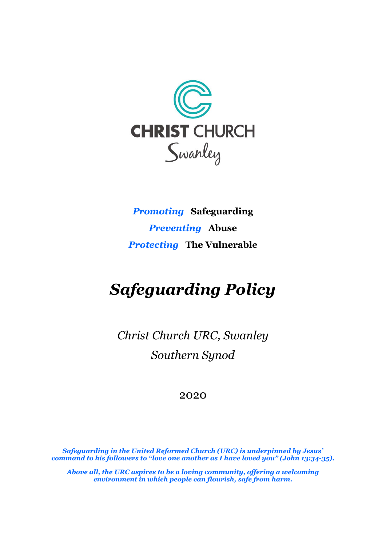

*Promoting* **Safeguarding** *Preventing* **Abuse** *Protecting* **The Vulnerable**

# *Safeguarding Policy*

*Christ Church URC, Swanley Southern Synod*

#### 2020

*Safeguarding in the United Reformed Church (URC) is underpinned by Jesus' command to his followers to "love one another as I have loved you" (John 13:34-35).*

*Above all, the URC aspires to be a loving community, offering a welcoming environment in which people can flourish, safe from harm.*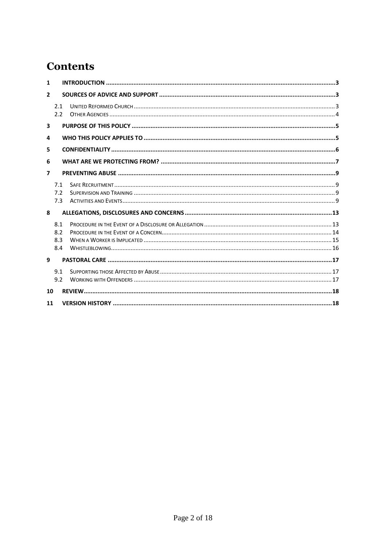# **Contents**

| 1                        |                          |  |  |  |  |
|--------------------------|--------------------------|--|--|--|--|
| $\overline{2}$           |                          |  |  |  |  |
|                          | 2.1<br>2.2               |  |  |  |  |
| $\overline{\mathbf{3}}$  |                          |  |  |  |  |
| 4                        |                          |  |  |  |  |
| 5                        |                          |  |  |  |  |
| 6                        |                          |  |  |  |  |
| $\overline{\phantom{a}}$ |                          |  |  |  |  |
|                          | 7.1<br>7.2<br>7.3        |  |  |  |  |
| 8                        |                          |  |  |  |  |
|                          | 8.1<br>8.2<br>8.3<br>8.4 |  |  |  |  |
| 9                        |                          |  |  |  |  |
|                          | 9.1<br>9.2               |  |  |  |  |
|                          | 10                       |  |  |  |  |
| 11                       |                          |  |  |  |  |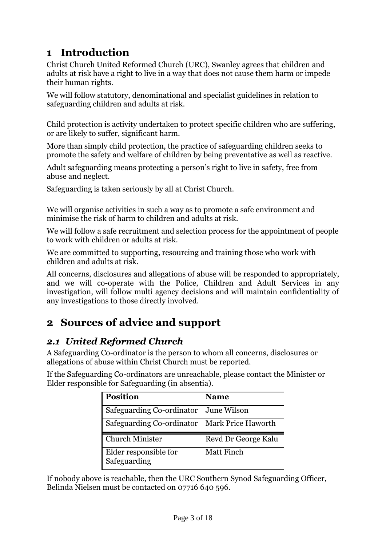# <span id="page-2-0"></span>**1 Introduction**

Christ Church United Reformed Church (URC), Swanley agrees that children and adults at risk have a right to live in a way that does not cause them harm or impede their human rights.

We will follow statutory, denominational and specialist guidelines in relation to safeguarding children and adults at risk.

Child protection is activity undertaken to protect specific children who are suffering, or are likely to suffer, significant harm.

More than simply child protection, the practice of safeguarding children seeks to promote the safety and welfare of children by being preventative as well as reactive.

Adult safeguarding means protecting a person's right to live in safety, free from abuse and neglect.

Safeguarding is taken seriously by all at Christ Church.

We will organise activities in such a way as to promote a safe environment and minimise the risk of harm to children and adults at risk.

We will follow a safe recruitment and selection process for the appointment of people to work with children or adults at risk.

We are committed to supporting, resourcing and training those who work with children and adults at risk.

All concerns, disclosures and allegations of abuse will be responded to appropriately, and we will co-operate with the Police, Children and Adult Services in any investigation, will follow multi agency decisions and will maintain confidentiality of any investigations to those directly involved.

# <span id="page-2-1"></span>**2 Sources of advice and support**

### <span id="page-2-2"></span>*2.1 United Reformed Church*

A Safeguarding Co-ordinator is the person to whom all concerns, disclosures or allegations of abuse within Christ Church must be reported.

If the Safeguarding Co-ordinators are unreachable, please contact the Minister or Elder responsible for Safeguarding (in absentia).

| <b>Position</b>                       | <b>Name</b>         |
|---------------------------------------|---------------------|
| Safeguarding Co-ordinator             | June Wilson         |
| Safeguarding Co-ordinator             | Mark Price Haworth  |
| <b>Church Minister</b>                | Revd Dr George Kalu |
| Elder responsible for<br>Safeguarding | Matt Finch          |

If nobody above is reachable, then the URC Southern Synod Safeguarding Officer, Belinda Nielsen must be contacted on 07716 640 596.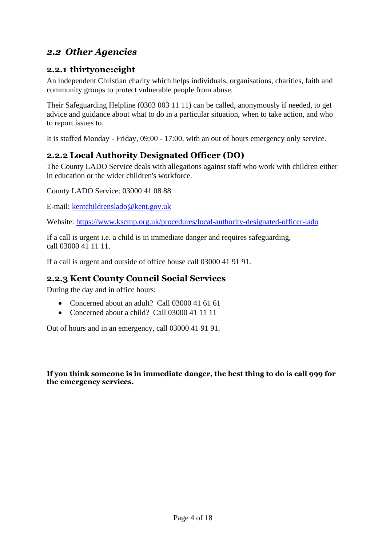#### <span id="page-3-0"></span>*2.2 Other Agencies*

#### **2.2.1 thirtyone:eight**

An independent Christian charity which helps individuals, organisations, charities, faith and community groups to protect vulnerable people from abuse.

Their Safeguarding Helpline (0303 003 11 11) can be called, anonymously if needed, to get advice and guidance about what to do in a particular situation, when to take action, and who to report issues to.

It is staffed Monday - Friday, 09:00 - 17:00, with an out of hours emergency only service.

#### **2.2.2 Local Authority Designated Officer (DO)**

The County LADO Service deals with allegations against staff who work with children either in education or the wider children's workforce.

County LADO Service: 03000 41 08 88

E-mail: [kentchildrenslado@kent.gov.uk](mailto:kentchildrenslado@kent.gov.uk)

Website:<https://www.kscmp.org.uk/procedures/local-authority-designated-officer-lado>

If a call is urgent i.e. a child is in immediate danger and requires safeguarding, call 03000 41 11 11.

If a call is urgent and outside of office house call 03000 41 91 91.

#### **2.2.3 Kent County Council Social Services**

During the day and in office hours:

- Concerned about an adult? Call 03000 41 61 61
- Concerned about a child? Call 03000 41 11 11

Out of hours and in an emergency, call 03000 41 91 91.

**If you think someone is in immediate danger, the best thing to do is call 999 for the emergency services.**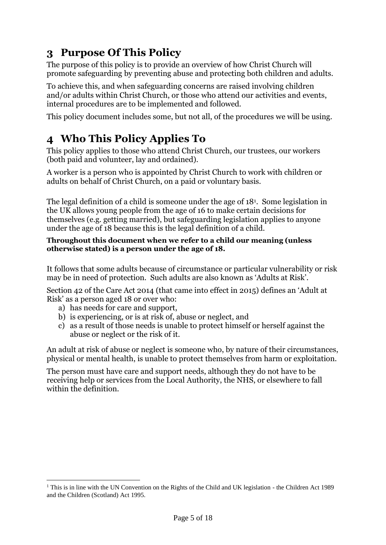# <span id="page-4-0"></span>**3 Purpose Of This Policy**

The purpose of this policy is to provide an overview of how Christ Church will promote safeguarding by preventing abuse and protecting both children and adults.

To achieve this, and when safeguarding concerns are raised involving children and/or adults within Christ Church, or those who attend our activities and events, internal procedures are to be implemented and followed.

This policy document includes some, but not all, of the procedures we will be using.

# <span id="page-4-1"></span>**4 Who This Policy Applies To**

This policy applies to those who attend Christ Church, our trustees, our workers (both paid and volunteer, lay and ordained).

A worker is a person who is appointed by Christ Church to work with children or adults on behalf of Christ Church, on a paid or voluntary basis.

The legal definition of a child is someone under the age of 18<sup>1</sup> . Some legislation in the UK allows young people from the age of 16 to make certain decisions for themselves (e.g. getting married), but safeguarding legislation applies to anyone under the age of 18 because this is the legal definition of a child.

#### **Throughout this document when we refer to a child our meaning (unless otherwise stated) is a person under the age of 18.**

It follows that some adults because of circumstance or particular vulnerability or risk may be in need of protection. Such adults are also known as 'Adults at Risk'.

Section 42 of the Care Act 2014 (that came into effect in 2015) defines an 'Adult at Risk' as a person aged 18 or over who:

- a) has needs for care and support,
- b) is experiencing, or is at risk of, abuse or neglect, and
- c) as a result of those needs is unable to protect himself or herself against the abuse or neglect or the risk of it.

An adult at risk of abuse or neglect is someone who, by nature of their circumstances, physical or mental health, is unable to protect themselves from harm or exploitation.

The person must have care and support needs, although they do not have to be receiving help or services from the Local Authority, the NHS, or elsewhere to fall within the definition.

<sup>&</sup>lt;sup>1</sup> This is in line with the UN Convention on the Rights of the Child and UK legislation - the Children Act 1989 and the Children (Scotland) Act 1995.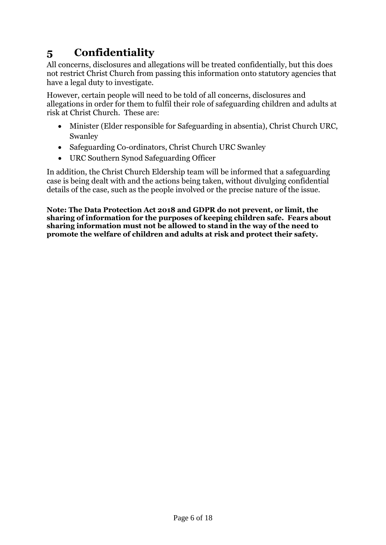# <span id="page-5-0"></span>**5 Confidentiality**

All concerns, disclosures and allegations will be treated confidentially, but this does not restrict Christ Church from passing this information onto statutory agencies that have a legal duty to investigate.

However, certain people will need to be told of all concerns, disclosures and allegations in order for them to fulfil their role of safeguarding children and adults at risk at Christ Church. These are:

- Minister (Elder responsible for Safeguarding in absentia), Christ Church URC, Swanley
- Safeguarding Co-ordinators, Christ Church URC Swanley
- URC Southern Synod Safeguarding Officer

In addition, the Christ Church Eldership team will be informed that a safeguarding case is being dealt with and the actions being taken, without divulging confidential details of the case, such as the people involved or the precise nature of the issue.

**Note: The Data Protection Act 2018 and GDPR do not prevent, or limit, the sharing of information for the purposes of keeping children safe. Fears about sharing information must not be allowed to stand in the way of the need to promote the welfare of children and adults at risk and protect their safety.**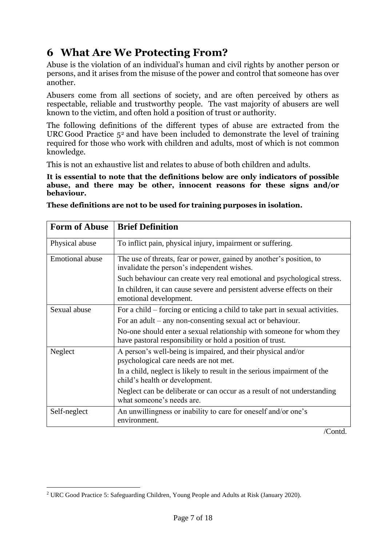# <span id="page-6-0"></span>**6 What Are We Protecting From?**

Abuse is the violation of an individual's human and civil rights by another person or persons, and it arises from the misuse of the power and control that someone has over another.

Abusers come from all sections of society, and are often perceived by others as respectable, reliable and trustworthy people. The vast majority of abusers are well known to the victim, and often hold a position of trust or authority.

The following definitions of the different types of abuse are extracted from the URC Good Practice  $5<sup>2</sup>$  and have been included to demonstrate the level of training required for those who work with children and adults, most of which is not common knowledge.

This is not an exhaustive list and relates to abuse of both children and adults.

**It is essential to note that the definitions below are only indicators of possible abuse, and there may be other, innocent reasons for these signs and/or behaviour.**

| <b>Form of Abuse</b>   | <b>Brief Definition</b>                                                                                                           |  |
|------------------------|-----------------------------------------------------------------------------------------------------------------------------------|--|
| Physical abuse         | To inflict pain, physical injury, impairment or suffering.                                                                        |  |
| <b>Emotional abuse</b> | The use of threats, fear or power, gained by another's position, to<br>invalidate the person's independent wishes.                |  |
|                        | Such behaviour can create very real emotional and psychological stress.                                                           |  |
|                        | In children, it can cause severe and persistent adverse effects on their<br>emotional development.                                |  |
| Sexual abuse           | For a child – forcing or enticing a child to take part in sexual activities.                                                      |  |
|                        | For an adult – any non-consenting sexual act or behaviour.                                                                        |  |
|                        | No-one should enter a sexual relationship with someone for whom they<br>have pastoral responsibility or hold a position of trust. |  |
| Neglect                | A person's well-being is impaired, and their physical and/or<br>psychological care needs are not met.                             |  |
|                        | In a child, neglect is likely to result in the serious impairment of the<br>child's health or development.                        |  |
|                        | Neglect can be deliberate or can occur as a result of not understanding<br>what someone's needs are.                              |  |
| Self-neglect           | An unwillingness or inability to care for oneself and/or one's<br>environment.                                                    |  |

**These definitions are not to be used for training purposes in isolation.**

/Contd.

<sup>2</sup> URC Good Practice 5: Safeguarding Children, Young People and Adults at Risk (January 2020).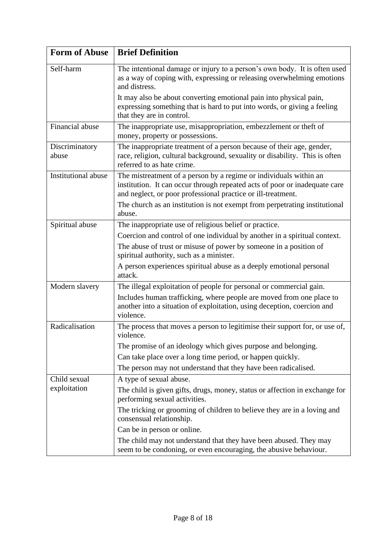| <b>Form of Abuse</b>       | <b>Brief Definition</b>                                                                                                                                                                                         |  |  |
|----------------------------|-----------------------------------------------------------------------------------------------------------------------------------------------------------------------------------------------------------------|--|--|
| Self-harm                  | The intentional damage or injury to a person's own body. It is often used<br>as a way of coping with, expressing or releasing overwhelming emotions<br>and distress.                                            |  |  |
|                            | It may also be about converting emotional pain into physical pain,<br>expressing something that is hard to put into words, or giving a feeling<br>that they are in control.                                     |  |  |
| Financial abuse            | The inappropriate use, misappropriation, embezzlement or theft of<br>money, property or possessions.                                                                                                            |  |  |
| Discriminatory<br>abuse    | The inappropriate treatment of a person because of their age, gender,<br>race, religion, cultural background, sexuality or disability. This is often<br>referred to as hate crime.                              |  |  |
| <b>Institutional abuse</b> | The mistreatment of a person by a regime or individuals within an<br>institution. It can occur through repeated acts of poor or inadequate care<br>and neglect, or poor professional practice or ill-treatment. |  |  |
|                            | The church as an institution is not exempt from perpetrating institutional<br>abuse.                                                                                                                            |  |  |
| Spiritual abuse            | The inappropriate use of religious belief or practice.                                                                                                                                                          |  |  |
|                            | Coercion and control of one individual by another in a spiritual context.                                                                                                                                       |  |  |
|                            | The abuse of trust or misuse of power by someone in a position of<br>spiritual authority, such as a minister.                                                                                                   |  |  |
|                            | A person experiences spiritual abuse as a deeply emotional personal<br>attack.                                                                                                                                  |  |  |
| Modern slavery             | The illegal exploitation of people for personal or commercial gain.                                                                                                                                             |  |  |
|                            | Includes human trafficking, where people are moved from one place to<br>another into a situation of exploitation, using deception, coercion and<br>violence.                                                    |  |  |
| Radicalisation             | The process that moves a person to legitimise their support for, or use of,<br>violence                                                                                                                         |  |  |
|                            | The promise of an ideology which gives purpose and belonging.                                                                                                                                                   |  |  |
|                            | Can take place over a long time period, or happen quickly.                                                                                                                                                      |  |  |
|                            | The person may not understand that they have been radicalised.                                                                                                                                                  |  |  |
| Child sexual               | A type of sexual abuse.                                                                                                                                                                                         |  |  |
| exploitation               | The child is given gifts, drugs, money, status or affection in exchange for<br>performing sexual activities.                                                                                                    |  |  |
|                            | The tricking or grooming of children to believe they are in a loving and<br>consensual relationship.                                                                                                            |  |  |
|                            | Can be in person or online.                                                                                                                                                                                     |  |  |
|                            | The child may not understand that they have been abused. They may<br>seem to be condoning, or even encouraging, the abusive behaviour.                                                                          |  |  |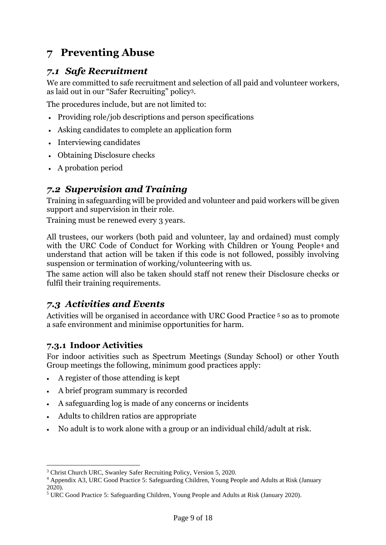# <span id="page-8-0"></span>**7 Preventing Abuse**

### <span id="page-8-1"></span>*7.1 Safe Recruitment*

We are committed to safe recruitment and selection of all paid and volunteer workers, as laid out in our "Safer Recruiting" policy3.

The procedures include, but are not limited to:

- Providing role/job descriptions and person specifications
- Asking candidates to complete an application form
- Interviewing candidates
- Obtaining Disclosure checks
- A probation period

### <span id="page-8-2"></span>*7.2 Supervision and Training*

Training in safeguarding will be provided and volunteer and paid workers will be given support and supervision in their role.

Training must be renewed every 3 years.

All trustees, our workers (both paid and volunteer, lay and ordained) must comply with the URC Code of Conduct for Working with Children or Young People<sup>4</sup> and understand that action will be taken if this code is not followed, possibly involving suspension or termination of working/volunteering with us.

The same action will also be taken should staff not renew their Disclosure checks or fulfil their training requirements.

#### <span id="page-8-3"></span>*7.3 Activities and Events*

Activities will be organised in accordance with URC Good Practice <sup>5</sup> so as to promote a safe environment and minimise opportunities for harm.

#### **7.3.1 Indoor Activities**

For indoor activities such as Spectrum Meetings (Sunday School) or other Youth Group meetings the following, minimum good practices apply:

- A register of those attending is kept
- A brief program summary is recorded
- A safeguarding log is made of any concerns or incidents
- Adults to children ratios are appropriate
- No adult is to work alone with a group or an individual child/adult at risk.

<sup>3</sup> Christ Church URC, Swanley Safer Recruiting Policy, Version 5, 2020.

<sup>4</sup> Appendix A3, URC Good Practice 5: Safeguarding Children, Young People and Adults at Risk (January 2020).

<sup>5</sup> URC Good Practice 5: Safeguarding Children, Young People and Adults at Risk (January 2020).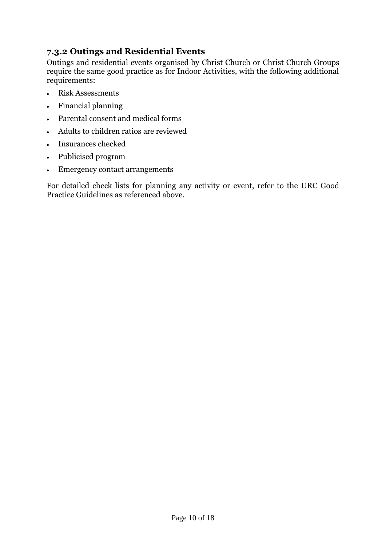#### **7.3.2 Outings and Residential Events**

Outings and residential events organised by Christ Church or Christ Church Groups require the same good practice as for Indoor Activities, with the following additional requirements:

- Risk Assessments
- Financial planning
- Parental consent and medical forms
- Adults to children ratios are reviewed
- Insurances checked
- Publicised program
- Emergency contact arrangements

For detailed check lists for planning any activity or event, refer to the URC Good Practice Guidelines as referenced above.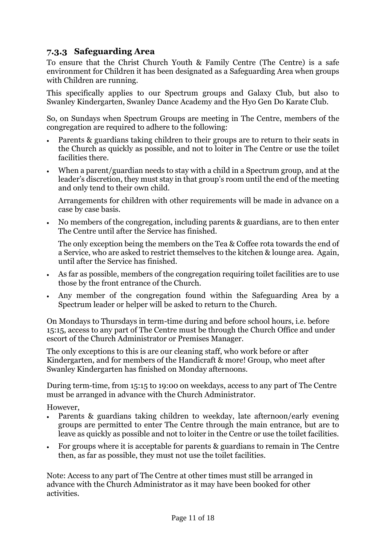#### **7.3.3 Safeguarding Area**

To ensure that the Christ Church Youth & Family Centre (The Centre) is a safe environment for Children it has been designated as a Safeguarding Area when groups with Children are running.

This specifically applies to our Spectrum groups and Galaxy Club, but also to Swanley Kindergarten, Swanley Dance Academy and the Hyo Gen Do Karate Club.

So, on Sundays when Spectrum Groups are meeting in The Centre, members of the congregation are required to adhere to the following:

- Parents & guardians taking children to their groups are to return to their seats in the Church as quickly as possible, and not to loiter in The Centre or use the toilet facilities there.
- When a parent/guardian needs to stay with a child in a Spectrum group, and at the leader's discretion, they must stay in that group's room until the end of the meeting and only tend to their own child.

Arrangements for children with other requirements will be made in advance on a case by case basis.

• No members of the congregation, including parents & guardians, are to then enter The Centre until after the Service has finished.

The only exception being the members on the Tea & Coffee rota towards the end of a Service, who are asked to restrict themselves to the kitchen & lounge area. Again, until after the Service has finished.

- As far as possible, members of the congregation requiring toilet facilities are to use those by the front entrance of the Church.
- Any member of the congregation found within the Safeguarding Area by a Spectrum leader or helper will be asked to return to the Church.

On Mondays to Thursdays in term-time during and before school hours, i.e. before 15:15, access to any part of The Centre must be through the Church Office and under escort of the Church Administrator or Premises Manager.

The only exceptions to this is are our cleaning staff, who work before or after Kindergarten, and for members of the Handicraft & more! Group, who meet after Swanley Kindergarten has finished on Monday afternoons.

During term-time, from 15:15 to 19:00 on weekdays, access to any part of The Centre must be arranged in advance with the Church Administrator.

However,

- Parents & guardians taking children to weekday, late afternoon/early evening groups are permitted to enter The Centre through the main entrance, but are to leave as quickly as possible and not to loiter in the Centre or use the toilet facilities.
- For groups where it is acceptable for parents & guardians to remain in The Centre then, as far as possible, they must not use the toilet facilities.

Note: Access to any part of The Centre at other times must still be arranged in advance with the Church Administrator as it may have been booked for other activities.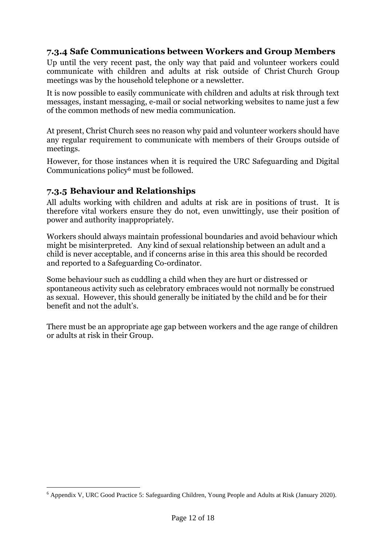#### **7.3.4 Safe Communications between Workers and Group Members**

Up until the very recent past, the only way that paid and volunteer workers could communicate with children and adults at risk outside of Christ Church Group meetings was by the household telephone or a newsletter.

It is now possible to easily communicate with children and adults at risk through text messages, instant messaging, e-mail or social networking websites to name just a few of the common methods of new media communication.

At present, Christ Church sees no reason why paid and volunteer workers should have any regular requirement to communicate with members of their Groups outside of meetings.

However, for those instances when it is required the URC Safeguarding and Digital Communications policy<sup>6</sup> must be followed.

#### **7.3.5 Behaviour and Relationships**

All adults working with children and adults at risk are in positions of trust. It is therefore vital workers ensure they do not, even unwittingly, use their position of power and authority inappropriately.

Workers should always maintain professional boundaries and avoid behaviour which might be misinterpreted. Any kind of sexual relationship between an adult and a child is never acceptable, and if concerns arise in this area this should be recorded and reported to a Safeguarding Co-ordinator.

Some behaviour such as cuddling a child when they are hurt or distressed or spontaneous activity such as celebratory embraces would not normally be construed as sexual. However, this should generally be initiated by the child and be for their benefit and not the adult's.

There must be an appropriate age gap between workers and the age range of children or adults at risk in their Group.

<sup>6</sup> Appendix V, URC Good Practice 5: Safeguarding Children, Young People and Adults at Risk (January 2020).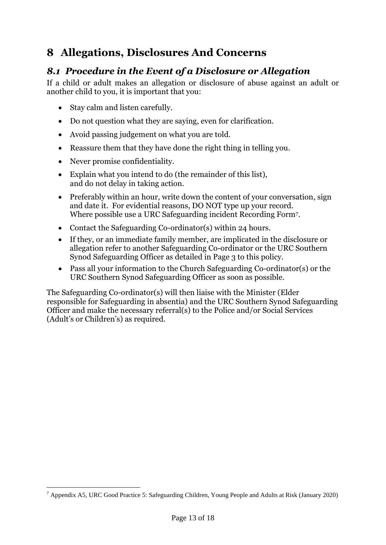# <span id="page-12-0"></span>**8 Allegations, Disclosures And Concerns**

### <span id="page-12-1"></span>*8.1 Procedure in the Event of a Disclosure or Allegation*

If a child or adult makes an allegation or disclosure of abuse against an adult or another child to you, it is important that you:

- Stay calm and listen carefully.
- Do not question what they are saying, even for clarification.
- Avoid passing judgement on what you are told.
- Reassure them that they have done the right thing in telling you.
- Never promise confidentiality.
- Explain what you intend to do (the remainder of this list), and do not delay in taking action.
- Preferably within an hour, write down the content of your conversation, sign and date it. For evidential reasons, DO NOT type up your record. Where possible use a URC Safeguarding incident Recording Form7.
- Contact the Safeguarding Co-ordinator(s) within 24 hours.
- If they, or an immediate family member, are implicated in the disclosure or allegation refer to another Safeguarding Co-ordinator or the URC Southern Synod Safeguarding Officer as detailed in Page 3 to this policy.
- Pass all your information to the Church Safeguarding Co-ordinator(s) or the URC Southern Synod Safeguarding Officer as soon as possible.

<span id="page-12-2"></span>The Safeguarding Co-ordinator(s) will then liaise with the Minister (Elder responsible for Safeguarding in absentia) and the URC Southern Synod Safeguarding Officer and make the necessary referral(s) to the Police and/or Social Services (Adult's or Children's) as required.

<sup>7</sup> Appendix A5, URC Good Practice 5: Safeguarding Children, Young People and Adults at Risk (January 2020)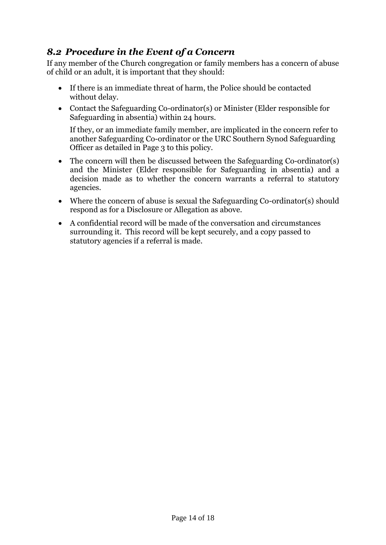### *8.2 Procedure in the Event of a Concern*

If any member of the Church congregation or family members has a concern of abuse of child or an adult, it is important that they should:

- If there is an immediate threat of harm, the Police should be contacted without delay.
- Contact the Safeguarding Co-ordinator(s) or Minister (Elder responsible for Safeguarding in absentia) within 24 hours.

If they, or an immediate family member, are implicated in the concern refer to another Safeguarding Co-ordinator or the URC Southern Synod Safeguarding Officer as detailed in Page 3 to this policy.

- The concern will then be discussed between the Safeguarding Co-ordinator(s) and the Minister (Elder responsible for Safeguarding in absentia) and a decision made as to whether the concern warrants a referral to statutory agencies.
- Where the concern of abuse is sexual the Safeguarding Co-ordinator(s) should respond as for a Disclosure or Allegation as above.
- <span id="page-13-0"></span>• A confidential record will be made of the conversation and circumstances surrounding it. This record will be kept securely, and a copy passed to statutory agencies if a referral is made.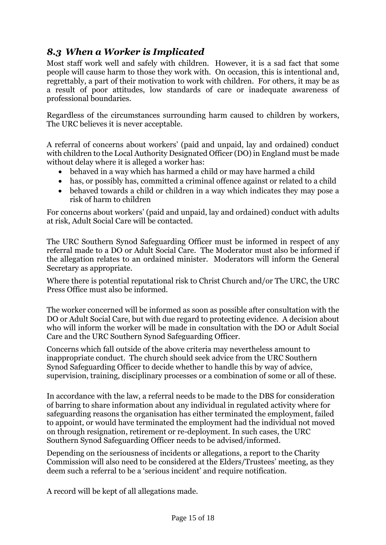### *8.3 When a Worker is Implicated*

Most staff work well and safely with children. However, it is a sad fact that some people will cause harm to those they work with. On occasion, this is intentional and, regrettably, a part of their motivation to work with children. For others, it may be as a result of poor attitudes, low standards of care or inadequate awareness of professional boundaries.

Regardless of the circumstances surrounding harm caused to children by workers, The URC believes it is never acceptable.

A referral of concerns about workers' (paid and unpaid, lay and ordained) conduct with children to the Local Authority Designated Officer (DO) in England must be made without delay where it is alleged a worker has:

- behaved in a way which has harmed a child or may have harmed a child
- has, or possibly has, committed a criminal offence against or related to a child
- behaved towards a child or children in a way which indicates they may pose a risk of harm to children

For concerns about workers' (paid and unpaid, lay and ordained) conduct with adults at risk, Adult Social Care will be contacted.

The URC Southern Synod Safeguarding Officer must be informed in respect of any referral made to a DO or Adult Social Care. The Moderator must also be informed if the allegation relates to an ordained minister. Moderators will inform the General Secretary as appropriate.

Where there is potential reputational risk to Christ Church and/or The URC, the URC Press Office must also be informed.

The worker concerned will be informed as soon as possible after consultation with the DO or Adult Social Care, but with due regard to protecting evidence. A decision about who will inform the worker will be made in consultation with the DO or Adult Social Care and the URC Southern Synod Safeguarding Officer.

Concerns which fall outside of the above criteria may nevertheless amount to inappropriate conduct. The church should seek advice from the URC Southern Synod Safeguarding Officer to decide whether to handle this by way of advice, supervision, training, disciplinary processes or a combination of some or all of these.

In accordance with the law, a referral needs to be made to the DBS for consideration of barring to share information about any individual in regulated activity where for safeguarding reasons the organisation has either terminated the employment, failed to appoint, or would have terminated the employment had the individual not moved on through resignation, retirement or re-deployment. In such cases, the URC Southern Synod Safeguarding Officer needs to be advised/informed.

Depending on the seriousness of incidents or allegations, a report to the Charity Commission will also need to be considered at the Elders/Trustees' meeting, as they deem such a referral to be a 'serious incident' and require notification.

A record will be kept of all allegations made.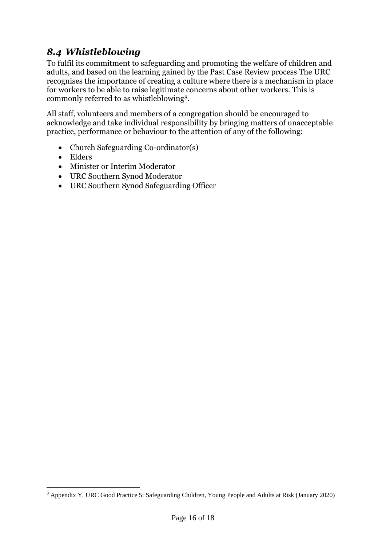### <span id="page-15-0"></span>*8.4 Whistleblowing*

To fulfil its commitment to safeguarding and promoting the welfare of children and adults, and based on the learning gained by the Past Case Review process The URC recognises the importance of creating a culture where there is a mechanism in place for workers to be able to raise legitimate concerns about other workers. This is commonly referred to as whistleblowing8.

All staff, volunteers and members of a congregation should be encouraged to acknowledge and take individual responsibility by bringing matters of unacceptable practice, performance or behaviour to the attention of any of the following:

- Church Safeguarding Co-ordinator(s)
- Elders
- Minister or Interim Moderator
- URC Southern Synod Moderator
- URC Southern Synod Safeguarding Officer

<sup>8</sup> Appendix Y, URC Good Practice 5: Safeguarding Children, Young People and Adults at Risk (January 2020)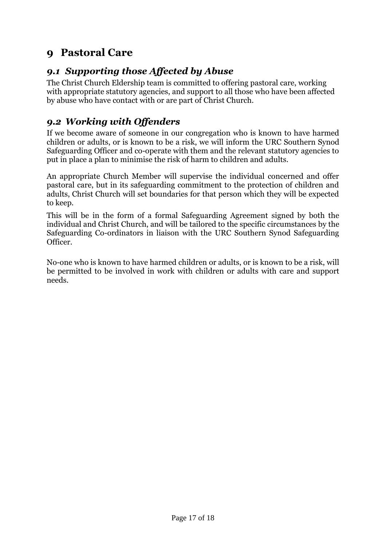## <span id="page-16-0"></span>**9 Pastoral Care**

### <span id="page-16-1"></span>*9.1 Supporting those Affected by Abuse*

The Christ Church Eldership team is committed to offering pastoral care, working with appropriate statutory agencies, and support to all those who have been affected by abuse who have contact with or are part of Christ Church.

### <span id="page-16-2"></span>*9.2 Working with Offenders*

If we become aware of someone in our congregation who is known to have harmed children or adults, or is known to be a risk, we will inform the URC Southern Synod Safeguarding Officer and co-operate with them and the relevant statutory agencies to put in place a plan to minimise the risk of harm to children and adults.

An appropriate Church Member will supervise the individual concerned and offer pastoral care, but in its safeguarding commitment to the protection of children and adults, Christ Church will set boundaries for that person which they will be expected to keep.

This will be in the form of a formal Safeguarding Agreement signed by both the individual and Christ Church, and will be tailored to the specific circumstances by the Safeguarding Co-ordinators in liaison with the URC Southern Synod Safeguarding Officer.

No-one who is known to have harmed children or adults, or is known to be a risk, will be permitted to be involved in work with children or adults with care and support needs.